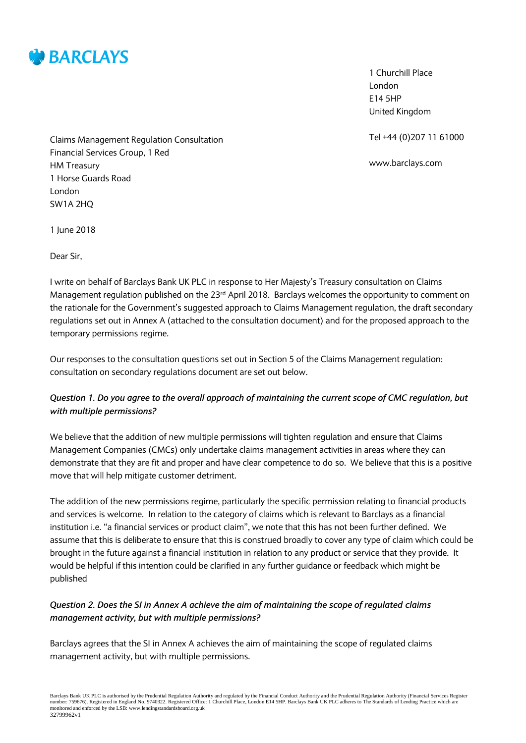

1 Churchill Place London E14 5HP United Kingdom

Tel +44 (0)207 11 61000

www.barclays.com

Claims Management Regulation Consultation Financial Services Group, 1 Red HM Treasury 1 Horse Guards Road London SW1A 2HQ

1 June 2018

Dear Sir,

I write on behalf of Barclays Bank UK PLC in response to Her Majesty's Treasury consultation on Claims Management regulation published on the 23<sup>rd</sup> April 2018. Barclays welcomes the opportunity to comment on the rationale for the Government's suggested approach to Claims Management regulation, the draft secondary regulations set out in Annex A (attached to the consultation document) and for the proposed approach to the temporary permissions regime.

Our responses to the consultation questions set out in Section 5 of the Claims Management regulation: consultation on secondary regulations document are set out below.

## *Question 1. Do you agree to the overall approach of maintaining the current scope of CMC regulation, but with multiple permissions?*

We believe that the addition of new multiple permissions will tighten regulation and ensure that Claims Management Companies (CMCs) only undertake claims management activities in areas where they can demonstrate that they are fit and proper and have clear competence to do so. We believe that this is a positive move that will help mitigate customer detriment.

The addition of the new permissions regime, particularly the specific permission relating to financial products and services is welcome. In relation to the category of claims which is relevant to Barclays as a financial institution i.e. "a financial services or product claim", we note that this has not been further defined. We assume that this is deliberate to ensure that this is construed broadly to cover any type of claim which could be brought in the future against a financial institution in relation to any product or service that they provide. It would be helpful if this intention could be clarified in any further guidance or feedback which might be published

#### *Question 2. Does the SI in Annex A achieve the aim of maintaining the scope of regulated claims management activity, but with multiple permissions?*

Barclays agrees that the SI in Annex A achieves the aim of maintaining the scope of regulated claims management activity, but with multiple permissions.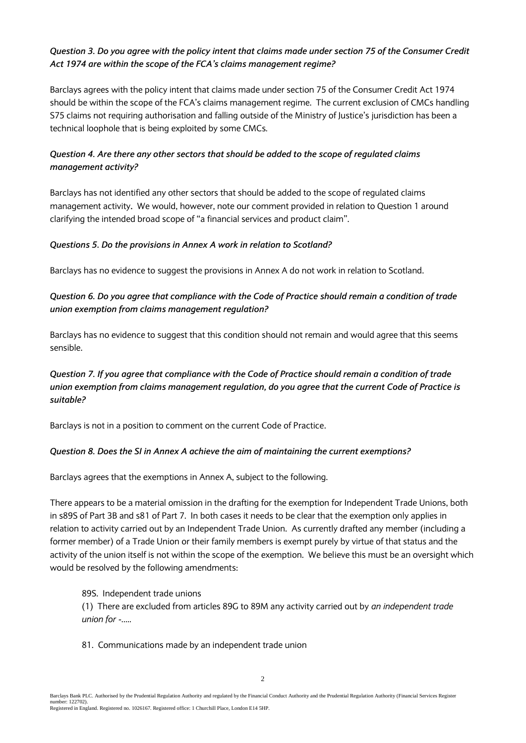### *Question 3. Do you agree with the policy intent that claims made under section 75 of the Consumer Credit Act 1974 are within the scope of the FCA's claims management regime?*

Barclays agrees with the policy intent that claims made under section 75 of the Consumer Credit Act 1974 should be within the scope of the FCA's claims management regime. The current exclusion of CMCs handling S75 claims not requiring authorisation and falling outside of the Ministry of Justice's jurisdiction has been a technical loophole that is being exploited by some CMCs*.*

# *Question 4. Are there any other sectors that should be added to the scope of regulated claims management activity?*

Barclays has not identified any other sectors that should be added to the scope of regulated claims management activity**.** We would, however, note our comment provided in relation to Question 1 around clarifying the intended broad scope of "a financial services and product claim".

#### *Questions 5. Do the provisions in Annex A work in relation to Scotland?*

Barclays has no evidence to suggest the provisions in Annex A do not work in relation to Scotland.

## *Question 6. Do you agree that compliance with the [Code of Practice](https://assets.publishing.service.gov.uk/government/uploads/system/uploads/attachment_data/file/313317/trade-unions-claims-management-services-code-of-practice.pdf) should remain a condition of trade union exemption from claims management regulation?*

Barclays has no evidence to suggest that this condition should not remain and would agree that this seems sensible.

## *Question 7. If you agree that compliance with th[e Code of Practice](https://assets.publishing.service.gov.uk/government/uploads/system/uploads/attachment_data/file/313317/trade-unions-claims-management-services-code-of-practice.pdf) should remain a condition of trade union exemption from claims management regulation, do you agree that the current [Code of Practice](https://assets.publishing.service.gov.uk/government/uploads/system/uploads/attachment_data/file/313317/trade-unions-claims-management-services-code-of-practice.pdf) is suitable?*

Barclays is not in a position to comment on the current Code of Practice.

#### *Question 8. Does the SI in Annex A achieve the aim of maintaining the current exemptions?*

Barclays agrees that the exemptions in Annex A, subject to the following.

There appears to be a material omission in the drafting for the exemption for Independent Trade Unions, both in s89S of Part 3B and s81 of Part 7. In both cases it needs to be clear that the exemption only applies in relation to activity carried out by an Independent Trade Union. As currently drafted any member (including a former member) of a Trade Union or their family members is exempt purely by virtue of that status and the activity of the union itself is not within the scope of the exemption. We believe this must be an oversight which would be resolved by the following amendments:

#### 89S. Independent trade unions

(1) There are excluded from articles 89G to 89M any activity carried out by *an independent trade union for -.....*

81. Communications made by an independent trade union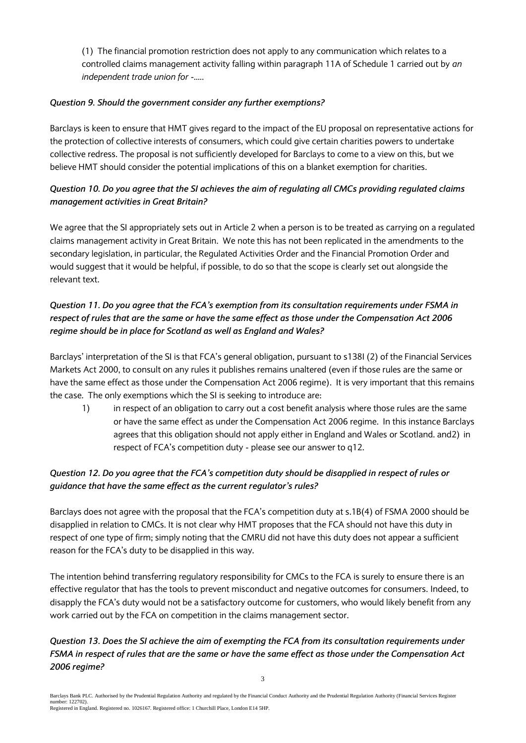(1) The financial promotion restriction does not apply to any communication which relates to a controlled claims management activity falling within paragraph 11A of Schedule 1 carried out by *an independent trade union for -.....*

### *Question 9. Should the government consider any further exemptions?*

Barclays is keen to ensure that HMT gives regard to the impact of the EU proposal on representative actions for the protection of collective interests of consumers, which could give certain charities powers to undertake collective redress. The proposal is not sufficiently developed for Barclays to come to a view on this, but we believe HMT should consider the potential implications of this on a blanket exemption for charities.

# *Question 10. Do you agree that the SI achieves the aim of regulating all CMCs providing regulated claims management activities in Great Britain?*

We agree that the SI appropriately sets out in Article 2 when a person is to be treated as carrying on a regulated claims management activity in Great Britain. We note this has not been replicated in the amendments to the secondary legislation, in particular, the Regulated Activities Order and the Financial Promotion Order and would suggest that it would be helpful, if possible, to do so that the scope is clearly set out alongside the relevant text.

# *Question 11. Do you agree that the FCA's exemption from its consultation requirements under FSMA in respect of rules that are the same or have the same effect as those under the Compensation Act 2006 regime should be in place for Scotland as well as England and Wales?*

Barclays' interpretation of the SI is that FCA's general obligation, pursuant to s138I (2) of the Financial Services Markets Act 2000, to consult on any rules it publishes remains unaltered (even if those rules are the same or have the same effect as those under the Compensation Act 2006 regime). It is very important that this remains the case. The only exemptions which the SI is seeking to introduce are:

1) in respect of an obligation to carry out a cost benefit analysis where those rules are the same or have the same effect as under the Compensation Act 2006 regime. In this instance Barclays agrees that this obligation should not apply either in England and Wales or Scotland. and2) in respect of FCA's competition duty - please see our answer to q12.

# *Question 12. Do you agree that the FCA's competition duty should be disapplied in respect of rules or guidance that have the same effect as the current regulator's rules?*

Barclays does not agree with the proposal that the FCA's competition duty at s.1B(4) of FSMA 2000 should be disapplied in relation to CMCs. It is not clear why HMT proposes that the FCA should not have this duty in respect of one type of firm; simply noting that the CMRU did not have this duty does not appear a sufficient reason for the FCA's duty to be disapplied in this way.

The intention behind transferring regulatory responsibility for CMCs to the FCA is surely to ensure there is an effective regulator that has the tools to prevent misconduct and negative outcomes for consumers. Indeed, to disapply the FCA's duty would not be a satisfactory outcome for customers, who would likely benefit from any work carried out by the FCA on competition in the claims management sector.

# *Question 13. Does the SI achieve the aim of exempting the FCA from its consultation requirements under FSMA in respect of rules that are the same or have the same effect as those under the Compensation Act 2006 regime?*